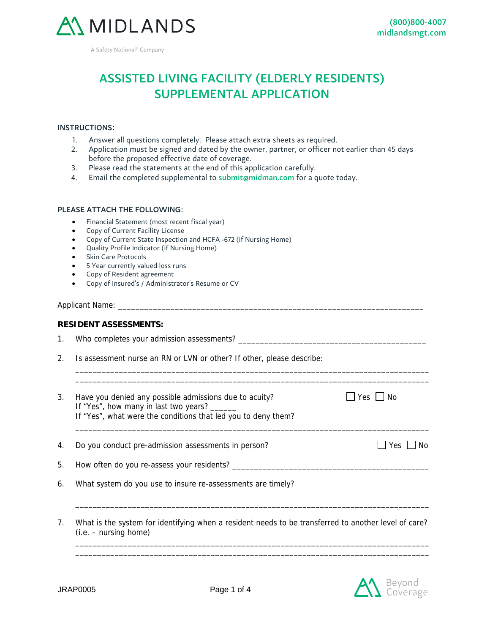

A Safety National® Company

# ASSISTED LIVING FACILITY (ELDERLY RESIDENTS) SUPPLEMENTAL APPLICATION

#### INSTRUCTIONS**:**

- 1. Answer all questions completely. Please attach extra sheets as required.
- 2. Application must be signed and dated by the owner, partner, or officer not earlier than 45 days before the proposed effective date of coverage.
- 3. Please read the statements at the end of this application carefully.
- 4. Email the completed supplemental to submit@midman.com for a quote today.

#### PLEASE ATTACH THE FOLLOWING:

- Financial Statement (most recent fiscal year)
- Copy of Current Facility License
- Copy of Current State Inspection and HCFA -672 (if Nursing Home)
- Quality Profile Indicator (if Nursing Home)
- Skin Care Protocols
- 5 Year currently valued loss runs
- Copy of Resident agreement
- Copy of Insured's / Administrator's Resume or CV

#### Applicant Name:

#### **RESIDENT ASSESSMENTS:**

|  | Who completes your admission assessments? |  |
|--|-------------------------------------------|--|
|  |                                           |  |

2. Is assessment nurse an RN or LVN or other? If other, please describe:

| 3. | Have you denied any possible admissions due to acuity?<br>If "Yes", how many in last two years?<br>If "Yes", what were the conditions that led you to deny them? | Yes     No |
|----|------------------------------------------------------------------------------------------------------------------------------------------------------------------|------------|
| 4. | Do you conduct pre-admission assessments in person?                                                                                                              | Yes I I No |
| 5. | How often do you re-assess your residents?                                                                                                                       |            |
| 6. | What system do you use to insure re-assessments are timely?                                                                                                      |            |

\_\_\_\_\_\_\_\_\_\_\_\_\_\_\_\_\_\_\_\_\_\_\_\_\_\_\_\_\_\_\_\_\_\_\_\_\_\_\_\_\_\_\_\_\_\_\_\_\_\_\_\_\_\_\_\_\_\_\_\_\_\_\_\_\_\_\_\_\_\_\_\_\_\_\_\_\_\_\_\_\_ \_\_\_\_\_\_\_\_\_\_\_\_\_\_\_\_\_\_\_\_\_\_\_\_\_\_\_\_\_\_\_\_\_\_\_\_\_\_\_\_\_\_\_\_\_\_\_\_\_\_\_\_\_\_\_\_\_\_\_\_\_\_\_\_\_\_\_\_\_\_\_\_\_\_\_\_\_\_\_\_\_

7. What is the system for identifying when a resident needs to be transferred to another level of care? (i.e. – nursing home)

\_\_\_\_\_\_\_\_\_\_\_\_\_\_\_\_\_\_\_\_\_\_\_\_\_\_\_\_\_\_\_\_\_\_\_\_\_\_\_\_\_\_\_\_\_\_\_\_\_\_\_\_\_\_\_\_\_\_\_\_\_\_\_\_\_\_\_\_\_\_\_\_\_\_\_\_\_\_\_\_\_

\_\_\_\_\_\_\_\_\_\_\_\_\_\_\_\_\_\_\_\_\_\_\_\_\_\_\_\_\_\_\_\_\_\_\_\_\_\_\_\_\_\_\_\_\_\_\_\_\_\_\_\_\_\_\_\_\_\_\_\_\_\_\_\_\_\_\_\_\_\_\_\_\_\_\_\_\_\_\_\_\_ \_\_\_\_\_\_\_\_\_\_\_\_\_\_\_\_\_\_\_\_\_\_\_\_\_\_\_\_\_\_\_\_\_\_\_\_\_\_\_\_\_\_\_\_\_\_\_\_\_\_\_\_\_\_\_\_\_\_\_\_\_\_\_\_\_\_\_\_\_\_\_\_\_\_\_\_\_\_\_\_\_

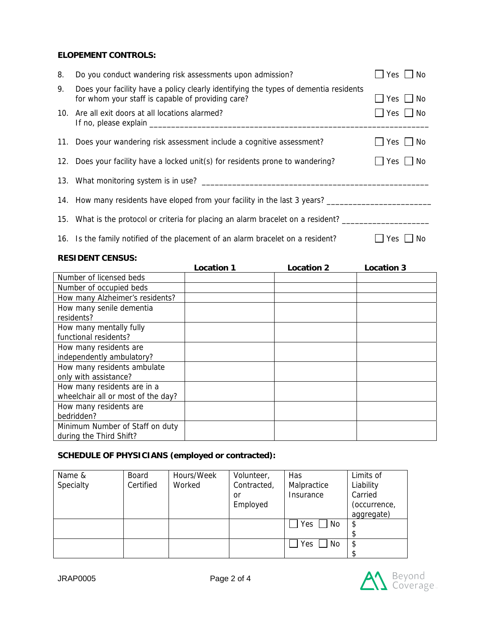#### **ELOPEMENT CONTROLS:**

| 8. | Do you conduct wandering risk assessments upon admission?                                                                                 | Yes  <br>  No           |
|----|-------------------------------------------------------------------------------------------------------------------------------------------|-------------------------|
| 9. | Does your facility have a policy clearly identifying the types of dementia residents<br>for whom your staff is capable of providing care? | Yes     No              |
|    | 10. Are all exit doors at all locations alarmed?                                                                                          | $\Box$ Yes $\Box$ No    |
|    | 11. Does your wandering risk assessment include a cognitive assessment?                                                                   | $\exists$ Yes  <br>  No |
|    | 12. Does your facility have a locked unit(s) for residents prone to wandering?                                                            | $\Box$ Yes<br>$\Box$ No |
|    | 13. What monitoring system is in use?                                                                                                     |                         |
|    | 14. How many residents have eloped from your facility in the last 3 years?                                                                |                         |
|    | 15. What is the protocol or criteria for placing an alarm bracelet on a resident?                                                         |                         |
|    | 16. Is the family notified of the placement of an alarm bracelet on a resident?                                                           | Yes<br>No.              |

#### **RESIDENT CENSUS:**

|                                    | <b>Location 1</b> | <b>Location 2</b> | Location 3 |
|------------------------------------|-------------------|-------------------|------------|
| Number of licensed beds            |                   |                   |            |
| Number of occupied beds            |                   |                   |            |
| How many Alzheimer's residents?    |                   |                   |            |
| How many senile dementia           |                   |                   |            |
| residents?                         |                   |                   |            |
| How many mentally fully            |                   |                   |            |
| functional residents?              |                   |                   |            |
| How many residents are             |                   |                   |            |
| independently ambulatory?          |                   |                   |            |
| How many residents ambulate        |                   |                   |            |
| only with assistance?              |                   |                   |            |
| How many residents are in a        |                   |                   |            |
| wheelchair all or most of the day? |                   |                   |            |
| How many residents are             |                   |                   |            |
| bedridden?                         |                   |                   |            |
| Minimum Number of Staff on duty    |                   |                   |            |
| during the Third Shift?            |                   |                   |            |

### **SCHEDULE OF PHYSICIANS (employed or contracted):**

| Name &<br>Specialty | Board<br>Certified | Hours/Week<br>Worked | Volunteer,<br>Contracted,<br>.or<br>Employed | Has<br>Malpractice<br>Insurance | Limits of<br>Liability<br>Carried<br>(occurrence, |
|---------------------|--------------------|----------------------|----------------------------------------------|---------------------------------|---------------------------------------------------|
|                     |                    |                      |                                              |                                 | aggregate)                                        |
|                     |                    |                      |                                              | Yes<br>No                       | \$                                                |
|                     |                    |                      |                                              |                                 |                                                   |
|                     |                    |                      |                                              | Yes<br>No                       | \$                                                |
|                     |                    |                      |                                              |                                 |                                                   |

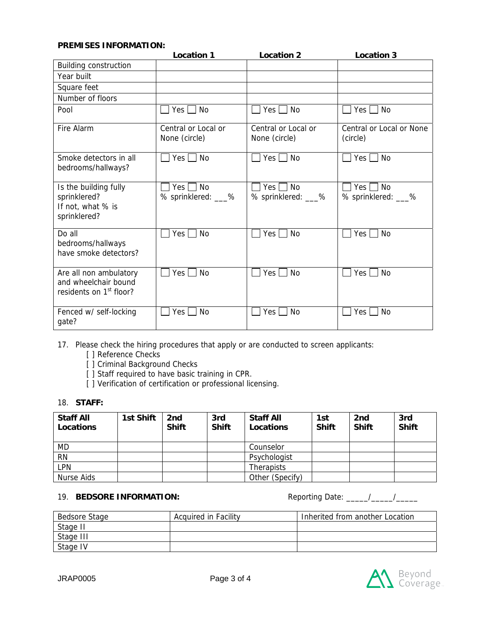#### **PREMISES INFORMATION:**

|                                                                                       | <b>Location 1</b>                    | <b>Location 2</b>                    | <b>Location 3</b>                    |
|---------------------------------------------------------------------------------------|--------------------------------------|--------------------------------------|--------------------------------------|
| <b>Building construction</b>                                                          |                                      |                                      |                                      |
| Year built                                                                            |                                      |                                      |                                      |
| Square feet                                                                           |                                      |                                      |                                      |
| Number of floors                                                                      |                                      |                                      |                                      |
| Pool                                                                                  | Yes No                               | <b>No</b><br>$Yes \mid \mid$         | <b>No</b><br>$Yes \mid \mid$         |
| Fire Alarm                                                                            | Central or Local or<br>None (circle) | Central or Local or<br>None (circle) | Central or Local or None<br>(circle) |
| Smoke detectors in all<br>bedrooms/hallways?                                          | $Yes \Box No$                        | $Yes \Box No$                        | <b>No</b><br>$Yes$                   |
| Is the building fully<br>sprinklered?<br>If not, what % is<br>sprinklered?            | $Yes \Box No$<br>% sprinklered: __%  | $Yes \Box No$<br>% sprinklered: __%  | $Yes \Box No$<br>% sprinklered: __%  |
| Do all<br>bedrooms/hallways<br>have smoke detectors?                                  | $Yes \Box No$                        | <b>No</b><br>Yes $  \;  $            | <b>No</b><br>Yes $\vert \ \vert$     |
| Are all non ambulatory<br>and wheelchair bound<br>residents on 1 <sup>st</sup> floor? | $Yes \mid No$                        | <b>No</b><br>Yes $\Box$              | <b>No</b><br>Yes  <br>$\sim 10$      |
| Fenced w/ self-locking<br>gate?                                                       | <b>No</b><br>Yes                     | <b>No</b><br>Yes I                   | <b>No</b><br>Yes I                   |

17. Please check the hiring procedures that apply or are conducted to screen applicants:

- [ ] Reference Checks
- [ ] Criminal Background Checks
- [ ] Staff required to have basic training in CPR.
- [ ] Verification of certification or professional licensing.

#### 18. **STAFF:**

| <b>Staff All</b><br>Locations | 1st Shift | 2nd<br><b>Shift</b> | 3rd<br><b>Shift</b> | <b>Staff All</b><br>Locations | 1st<br><b>Shift</b> | 2nd<br><b>Shift</b> | 3rd<br><b>Shift</b> |
|-------------------------------|-----------|---------------------|---------------------|-------------------------------|---------------------|---------------------|---------------------|
| MD                            |           |                     |                     | Counselor                     |                     |                     |                     |
| <b>RN</b>                     |           |                     |                     | Psychologist                  |                     |                     |                     |
| LPN                           |           |                     |                     | <b>Therapists</b>             |                     |                     |                     |
| Nurse Aids                    |           |                     |                     | Other (Specify)               |                     |                     |                     |

## 19. **BEDSORE INFORMATION:** Reporting Date: \_\_\_\_\_/\_\_\_\_\_/\_\_\_\_\_

| Bedsore Stage | <b>Acquired in Facility</b> | Inherited from another Location |
|---------------|-----------------------------|---------------------------------|
| Stage II      |                             |                                 |
| Stage III     |                             |                                 |
| Stage IV      |                             |                                 |